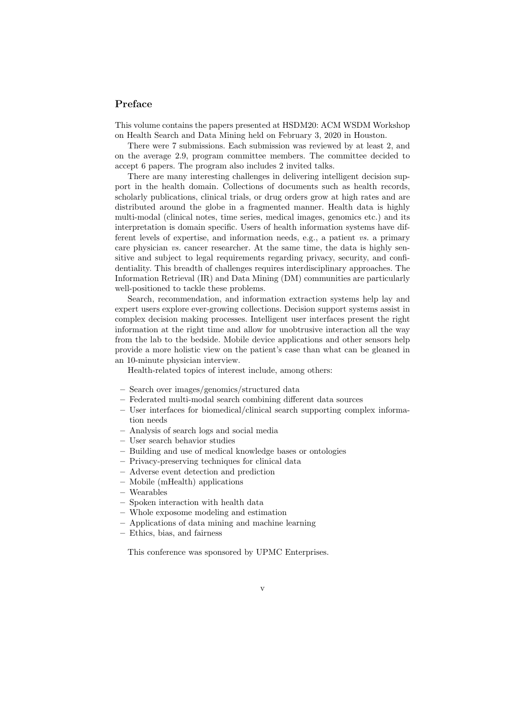## Preface

This volume contains the papers presented at HSDM20: ACM WSDM Workshop on Health Search and Data Mining held on February 3, 2020 in Houston.

There were 7 submissions. Each submission was reviewed by at least 2, and on the average 2.9, program committee members. The committee decided to accept 6 papers. The program also includes 2 invited talks.

There are many interesting challenges in delivering intelligent decision support in the health domain. Collections of documents such as health records, scholarly publications, clinical trials, or drug orders grow at high rates and are distributed around the globe in a fragmented manner. Health data is highly multi-modal (clinical notes, time series, medical images, genomics etc.) and its interpretation is domain specific. Users of health information systems have different levels of expertise, and information needs, e.g., a patient vs. a primary care physician vs. cancer researcher. At the same time, the data is highly sensitive and subject to legal requirements regarding privacy, security, and confidentiality. This breadth of challenges requires interdisciplinary approaches. The Information Retrieval (IR) and Data Mining (DM) communities are particularly well-positioned to tackle these problems.

Search, recommendation, and information extraction systems help lay and expert users explore ever-growing collections. Decision support systems assist in complex decision making processes. Intelligent user interfaces present the right information at the right time and allow for unobtrusive interaction all the way from the lab to the bedside. Mobile device applications and other sensors help provide a more holistic view on the patient's case than what can be gleaned in an 10-minute physician interview.

Health-related topics of interest include, among others:

- Search over images/genomics/structured data
- Federated multi-modal search combining different data sources
- User interfaces for biomedical/clinical search supporting complex information needs
- Analysis of search logs and social media
- User search behavior studies
- Building and use of medical knowledge bases or ontologies
- Privacy-preserving techniques for clinical data
- Adverse event detection and prediction
- Mobile (mHealth) applications
- Wearables
- Spoken interaction with health data
- Whole exposome modeling and estimation
- Applications of data mining and machine learning
- Ethics, bias, and fairness

This conference was sponsored by UPMC Enterprises.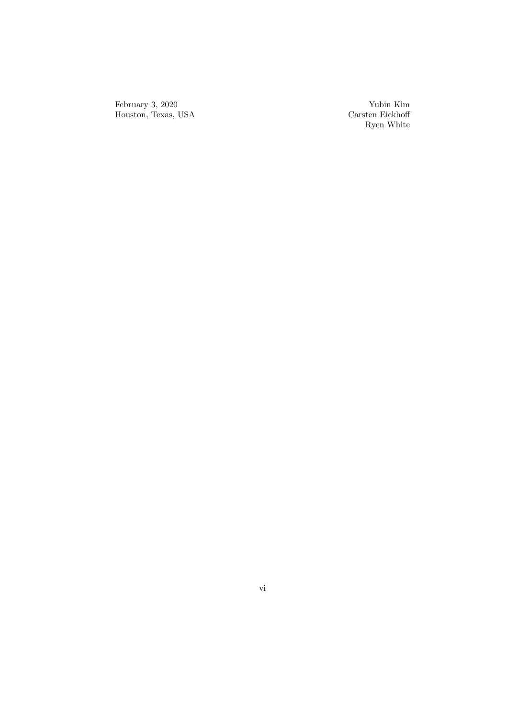February 3, 2020 Houston, Texas, USA

Yubin Kim Carsten Eickhoff Ryen White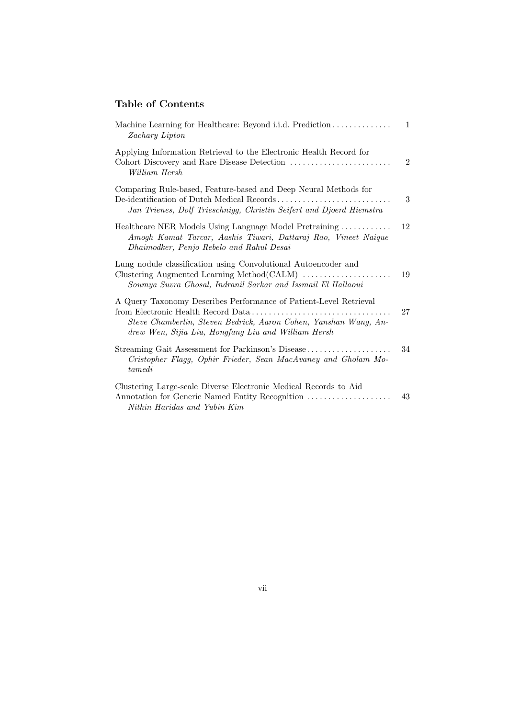## Table of Contents

| Machine Learning for Healthcare: Beyond i.i.d. Prediction<br>Zachary Lipton                                                                                                                  | $\mathbf{1}$   |
|----------------------------------------------------------------------------------------------------------------------------------------------------------------------------------------------|----------------|
| Applying Information Retrieval to the Electronic Health Record for<br>William Hersh                                                                                                          | $\overline{2}$ |
| Comparing Rule-based, Feature-based and Deep Neural Methods for<br>De-identification of Dutch Medical Records<br>Jan Trienes, Dolf Trieschnigg, Christin Seifert and Djoerd Hiemstra         | 3              |
| Healthcare NER Models Using Language Model Pretraining<br>Amogh Kamat Tarcar, Aashis Tiwari, Dattaraj Rao, Vineet Naique<br>Dhaimodker, Penjo Rebelo and Rahul Desai                         | 12             |
| Lung nodule classification using Convolutional Autoencoder and<br>Clustering Augmented Learning Method(CALM)<br>Soumya Suvra Ghosal, Indranil Sarkar and Issmail El Hallaoui                 | 19             |
| A Query Taxonomy Describes Performance of Patient-Level Retrieval<br>Steve Chamberlin, Steven Bedrick, Aaron Cohen, Yanshan Wang, An-<br>drew Wen, Sijia Liu, Hongfang Liu and William Hersh | 27             |
| Streaming Gait Assessment for Parkinson's Disease<br>Cristopher Flagg, Ophir Frieder, Sean MacAvaney and Gholam Mo-<br>tamedi                                                                | 34             |
| Clustering Large-scale Diverse Electronic Medical Records to Aid<br>Annotation for Generic Named Entity Recognition<br>Nithin Haridas and Yubin Kim                                          | 43             |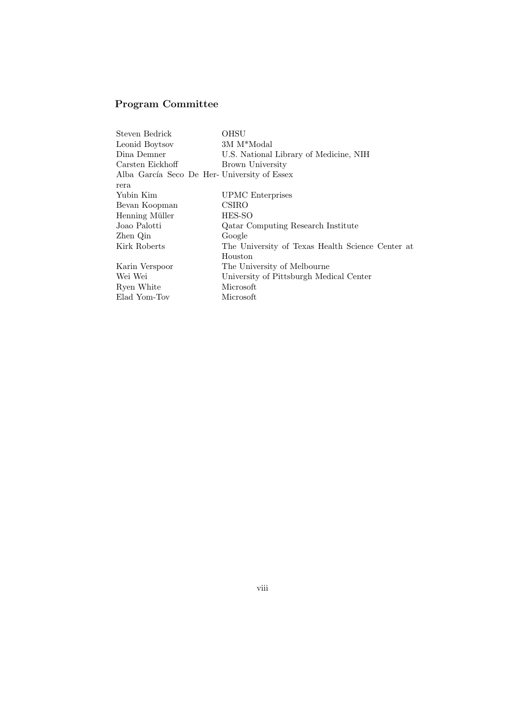## Program Committee

| Steven Bedrick                              | OHSU                                             |
|---------------------------------------------|--------------------------------------------------|
| Leonid Boytsov                              | 3M M <sup>*</sup> Modal                          |
| Dina Demner                                 | U.S. National Library of Medicine, NIH           |
| Carsten Eickhoff                            | Brown University                                 |
| Alba García Seco De Her-University of Essex |                                                  |
| rera                                        |                                                  |
| Yubin Kim                                   | UPMC Enterprises                                 |
| Bevan Koopman                               | CSIRO                                            |
| Henning Müller                              | HES-SO                                           |
| Joao Palotti                                | Qatar Computing Research Institute               |
| Zhen Qin                                    | Google                                           |
| Kirk Roberts                                | The University of Texas Health Science Center at |
|                                             | Houston                                          |
| Karin Verspoor                              | The University of Melbourne                      |
| Wei Wei                                     | University of Pittsburgh Medical Center          |
| Ryen White                                  | Microsoft                                        |
| Elad Yom-Tov                                | Microsoft                                        |